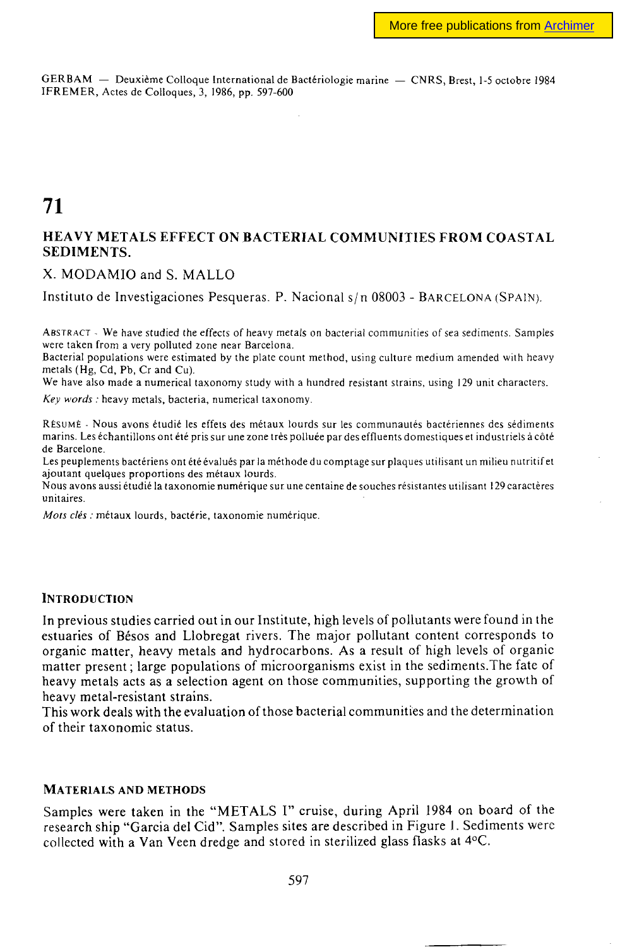GERBAM — Deuxième Colloque International de Bactériologie marine — CNRS, Brest, 1-5 octobre 1984 1FREMER, Actes de Colloques, 3, 1986, pp. 597-600

# **71**

### **HEAVY METALS EFFECT ON BACTERIAL COMMUNITIES FROM COASTAL SEDIMENTS.**

X. MODAMIO and S. MALLO

Instituto de Investigaciones Pesqueras. P. Nacional s/n 08003 - BARCELONA (SPAIN).

ABSTRACT - We have studied the effects of heavy metals on bacterial communities of sea sediments. Samples were taken from a very polluted zone near Barcelona.

Bacterial populations were estimated by the plate count method, using culture medium amended with heavy metals (Hg, Cd, Pb, Cr and Cu).

We have also made a numerical taxonomy study with a hundred resistant strains, using 129 unit characters.

*Key words :* heavy metals, bacteria, numerical taxonomy.

RÉSUMÉ - Nous avons étudié les effets des métaux lourds sur les communautés bactériennes des sédiments marins. Les échantillons ont été pris sur une zone très polluée par des effluents domestiques et industriels à côté de Barcelone.

Les peuplements bactériens ont été évalués par la méthode du comptage sur plaques utilisant un milieu nutritif et ajoutant quelques proportions des métaux lourds.

Nous avons aussi étudié la taxonomie numérique sur une centaine de souches résistantes utilisant 129 caractères unitaires.

*Mois clés :* métaux lourds, bactérie, taxonomie numérique.

#### **INTRODUCTION**

**In** previous studies carried out in our Institute, high levels of pollutants were found in the estuaries of Bésos and Llobregat rivers. The major pollutant content corresponds to organic matter, heavy metals and hydrocarbons. As a result of high levels of organic matter present; large populations of microorganisms exist in the sediments.The fate of heavy metals acts as a selection agent on those communities, supporting the growth of heavy metal-resistant strains.

This work deals with the evaluation of those bacterial communities and the determination of their taxonomie status.

#### MATERIALS **AND** METHODS

Samples were taken in the "METALS I" cruise, during April 1984 on board of the research ship "Garcia del Cid". Samples sites are described in Figure 1. Sediments were collected with a Van Veen dredge and stored in sterilized glass flasks at 4°C.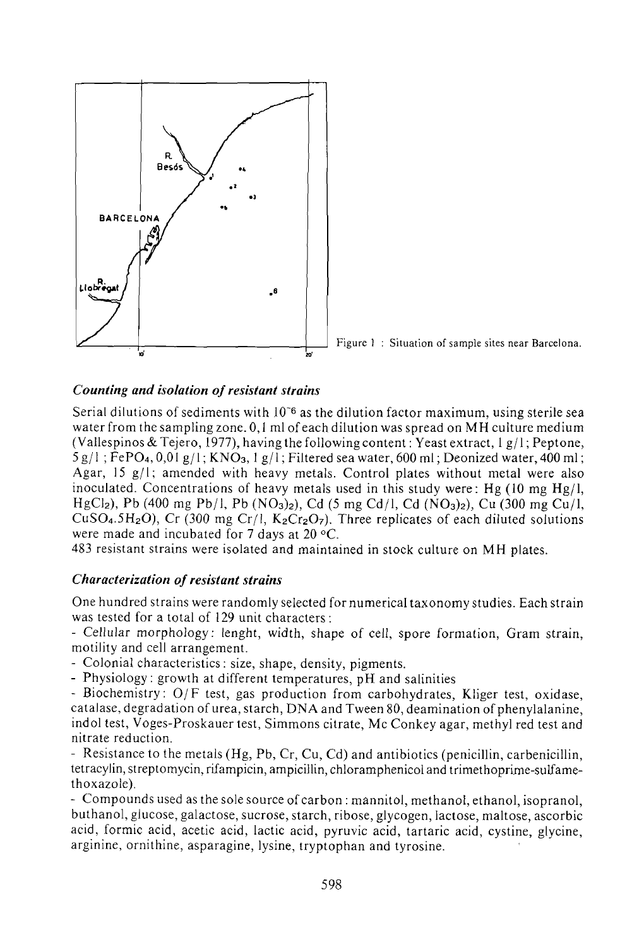



## *Counting and isolation of resistant strains*

Serial dilutions of sediments with  $10^{-6}$  as the dilution factor maximum, using sterile sea water from the sampling zone. 0,1 ml of each dilution was spread on MH culture medium (Vallespinos & Tejero, 1977), having the following content : Yeast extract,  $1 g/l$ ; Peptone,  $5 g/l$ ; FePO<sub>4</sub>, 0,01 g/l; KNO<sub>3</sub>, 1 g/l; Filtered sea water, 600 ml; Deonized water, 400 ml; Agar, 15  $g/l$ ; amended with heavy metals. Control plates without metal were also inoculated. Concentrations of heavy metals used in this study were: Hg  $(10 \text{ mg Hg})$ . HgCl<sub>2</sub>), Pb (400 mg Pb/l, Pb (NO<sub>3</sub>)<sub>2</sub>), Cd (5 mg Cd/l, Cd (NO<sub>3</sub>)<sub>2</sub>), Cu (300 mg Cu/l, CuSO<sub>4</sub>.5H<sub>2</sub>O), Cr (300 mg Cr/l, K<sub>2</sub>Cr<sub>2</sub>O<sub>7</sub>). Three replicates of each diluted solutions were made and incubated for 7 days at 20 °C.

483 resistant strains were isolated and maintained in stock culture on MH plates.

#### *Characterization of resistant strains*

One hundred strains were randomly selected for numerical taxonomy studies. Each strain was tested for a total of 129 unit characters :

- Cellular morphology: lenght, width, shape of cell, spore formation, Gram strain, motility and cell arrangement.

- Colonial characteristics : size, shape, density, pigments.

- Physiology : growth at different temperatures, pH and salinities

- Biochemistry: O/F test, gas production from carbohydrates, Kliger test, oxidase, catalase, degradation of urea, starch, DNA and Tween 80, deamination of phenylalanine, indol test, Voges-Proskauer test, Simmons citrate, Mc Conkey agar, methyl red test and nitrate reduction.

- Resistance to the metals (Hg, Pb, Cr, Cu, Cd) and antibiotics (penicillin, carbenicillin, tetracylin, streptomycin, rifampicin, ampicillin, chloramphenicol and trimethoprime-sulfamethoxazole).

- Compounds used as the sole source of carbon : mannitol, methanol, ethanol, isopranol, buthanol, glucose, galactose, sucrose, starch, ribose, glycogen, lactose, maltose, ascorbic acid, formic acid, acetic acid, lactic acid, pyruvic acid, tartaric acid, cystine, glycine, arginine, ornithine, asparagine, lysine, tryptophan and tyrosine.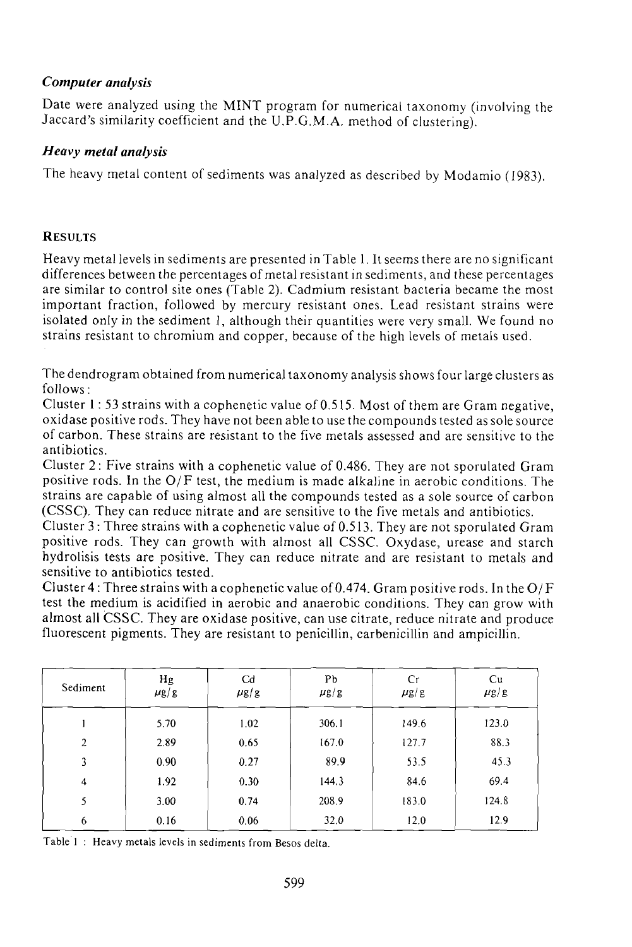## *Computer analysis*

Date were analyzed using the MINT program for numerical taxonomy (involving the Jaccard's similarity coefficient and the U.P.G.M.A. method of clustering).

# *Heavy metal analysis*

The heavy metal content of sediments was analyzed as described by Modamio (1983).

## **RESULTS**

Heavy metal levels in sediments are presented in Table 1. It seems there are no significant differences between the percentages of metal resistant in sediments, and these percentages are similar to control site ones (Table 2). Cadmium resistant bacteria became the most important fraction, followed by mercury resistant ones. Lead resistant strains were isolated only in the sediment I, although their quantities were very small. We found no strains resistant to chromium and copper, because of the high levels of metals used.

The dendrogram obtained from numerical taxonomy analysis shows four large clusters as follows :

Cluster 1: 53 strains with acophenetic value of 0.515. Most of them are Gram negative, oxidase positive rods. They have not been able to use the compounds tested as sole source of carbon. These strains are resistant to the five metals assessed and are sensitive to the antibiotics.

Cluster 2 : Five strains with a cophenetic value of 0.486. They are not sporulated Gram positive rods. In the  $O/F$  test, the medium is made alkaline in aerobic conditions. The strains are capable of using almost all the compounds tested as a sole source of carbon (CSSC). They can reduce nitrate and are sensitive to the five metals and antibiotics.

Cluster 3 : Three strains with a cophenetic value of 0.513. They are not sporulated Gram positive rods. They can growth with almost all CSSC. Oxydase, urease and starch hydrolisis tests are positive. They can reduce nitrate and are resistant to metals and sensitive to antibiotics tested.

Cluster 4 : Three strains with a cophenetic value of 0.474. Gram positive rods. In the  $O/F$ test the medium is acidified in aerobic and anaerobic conditions. They can grow with almost all CSSC. They are oxidase positive, can use citrate, reduce nitrate and produce fluorescent pigments. They are resistant to penicillin, carbenicillin and ampicillin.

| Sediment       | Hg<br>$\mu$ g/g | C <sub>d</sub><br>$\mu$ g/g | Pb<br>$\mu$ g/g | Cr<br>$\mu$ g/g | Cu<br>$\mu$ g/g |
|----------------|-----------------|-----------------------------|-----------------|-----------------|-----------------|
|                | 5.70            | 1.02                        | 306.1           | 149.6           | 123.0           |
| $\overline{2}$ | 2.89            | 0.65                        | 167.0           | 127.7           | 88.3            |
| 3              | 0.90            | 0.27                        | 89.9            | 53.5            | 45.3            |
| 4              | 1.92            | 0.30                        | 144.3           | 84.6            | 69.4            |
| 5              | 3.00            | 0.74                        | 208.9           | 183.0           | 124.8           |
| 6              | 0.16            | 0.06                        | 32.0            | 12.0            | 12.9            |

Table 1 : Heavy metals levels in sediments from Besos delta.